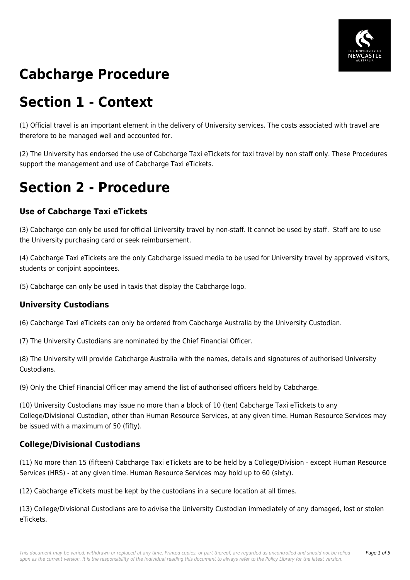

# **Cabcharge Procedure**

## **Section 1 - Context**

(1) Official travel is an important element in the delivery of University services. The costs associated with travel are therefore to be managed well and accounted for.

(2) The University has endorsed the use of Cabcharge Taxi eTickets for taxi travel by non staff only. These Procedures support the management and use of Cabcharge Taxi eTickets.

### **Section 2 - Procedure**

### **Use of Cabcharge Taxi eTickets**

(3) Cabcharge can only be used for official University travel by non-staff. It cannot be used by staff. Staff are to use the University purchasing card or seek reimbursement.

(4) Cabcharge Taxi eTickets are the only Cabcharge issued media to be used for University travel by approved visitors, students or conjoint appointees.

(5) Cabcharge can only be used in taxis that display the Cabcharge logo.

#### **University Custodians**

(6) Cabcharge Taxi eTickets can only be ordered from Cabcharge Australia by the University Custodian.

(7) The University Custodians are nominated by the Chief Financial Officer.

(8) The University will provide Cabcharge Australia with the names, details and signatures of authorised University Custodians.

(9) Only the Chief Financial Officer may amend the list of authorised officers held by Cabcharge.

(10) University Custodians may issue no more than a block of 10 (ten) Cabcharge Taxi eTickets to any College/Divisional Custodian, other than Human Resource Services, at any given time. Human Resource Services may be issued with a maximum of 50 (fifty).

#### **College/Divisional Custodians**

(11) No more than 15 (fifteen) Cabcharge Taxi eTickets are to be held by a College/Division - except Human Resource Services (HRS) - at any given time. Human Resource Services may hold up to 60 (sixty).

(12) Cabcharge eTickets must be kept by the custodians in a secure location at all times.

(13) College/Divisional Custodians are to advise the University Custodian immediately of any damaged, lost or stolen eTickets.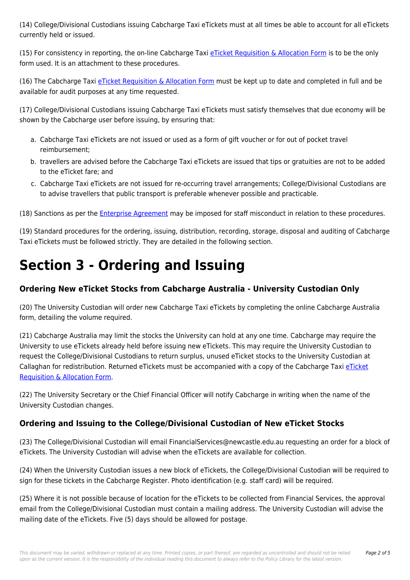(14) College/Divisional Custodians issuing Cabcharge Taxi eTickets must at all times be able to account for all eTickets currently held or issued.

(15) For consistency in reporting, the on-line Cabcharge Taxi [eTicket Requisition & Allocation Form](https://policies.newcastle.edu.au/download.php?id=392&version=1&associated) is to be the only form used. It is an attachment to these procedures.

(16) The Cabcharge Taxi [eTicket Requisition & Allocation Form](https://policies.newcastle.edu.au/download.php?id=392&version=1&associated) must be kept up to date and completed in full and be available for audit purposes at any time requested.

(17) College/Divisional Custodians issuing Cabcharge Taxi eTickets must satisfy themselves that due economy will be shown by the Cabcharge user before issuing, by ensuring that:

- a. Cabcharge Taxi eTickets are not issued or used as a form of gift voucher or for out of pocket travel reimbursement;
- b. travellers are advised before the Cabcharge Taxi eTickets are issued that tips or gratuities are not to be added to the eTicket fare; and
- c. Cabcharge Taxi eTickets are not issued for re-occurring travel arrangements; College/Divisional Custodians are to advise travellers that public transport is preferable whenever possible and practicable.

(18) Sanctions as per the *[Enterprise Agreement](https://policies.newcastle.edu.au/download.php?id=32&version=1&associated)* may be imposed for staff misconduct in relation to these procedures.

(19) Standard procedures for the ordering, issuing, distribution, recording, storage, disposal and auditing of Cabcharge Taxi eTickets must be followed strictly. They are detailed in the following section.

# **Section 3 - Ordering and Issuing**

### **Ordering New eTicket Stocks from Cabcharge Australia - University Custodian Only**

(20) The University Custodian will order new Cabcharge Taxi eTickets by completing the online Cabcharge Australia form, detailing the volume required.

(21) Cabcharge Australia may limit the stocks the University can hold at any one time. Cabcharge may require the University to use eTickets already held before issuing new eTickets. This may require the University Custodian to request the College/Divisional Custodians to return surplus, unused eTicket stocks to the University Custodian at Callaghan for redistribution. Returned eTickets must be accompanied with a copy of the Cabcharge Taxi [eTicket](https://policies.newcastle.edu.au/download.php?id=392&version=1&associated) [Requisition & Allocation Form.](https://policies.newcastle.edu.au/download.php?id=392&version=1&associated)

(22) The University Secretary or the Chief Financial Officer will notify Cabcharge in writing when the name of the University Custodian changes.

### **Ordering and Issuing to the College/Divisional Custodian of New eTicket Stocks**

(23) The College/Divisional Custodian will email FinancialServices@newcastle.edu.au requesting an order for a block of eTickets. The University Custodian will advise when the eTickets are available for collection.

(24) When the University Custodian issues a new block of eTickets, the College/Divisional Custodian will be required to sign for these tickets in the Cabcharge Register. Photo identification (e.g. staff card) will be required.

(25) Where it is not possible because of location for the eTickets to be collected from Financial Services, the approval email from the College/Divisional Custodian must contain a mailing address. The University Custodian will advise the mailing date of the eTickets. Five (5) days should be allowed for postage.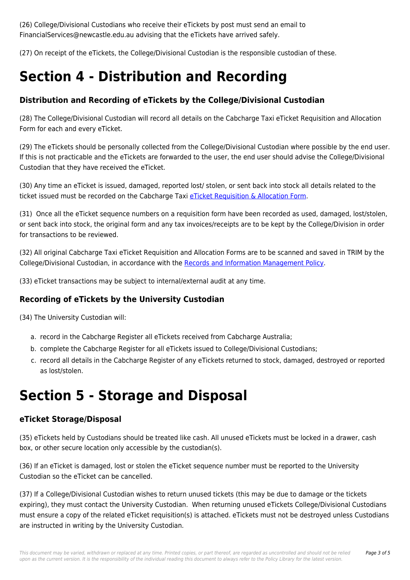(26) College/Divisional Custodians who receive their eTickets by post must send an email to FinancialServices@newcastle.edu.au advising that the eTickets have arrived safely.

(27) On receipt of the eTickets, the College/Divisional Custodian is the responsible custodian of these.

## **Section 4 - Distribution and Recording**

### **Distribution and Recording of eTickets by the College/Divisional Custodian**

(28) The College/Divisional Custodian will record all details on the Cabcharge Taxi eTicket Requisition and Allocation Form for each and every eTicket.

(29) The eTickets should be personally collected from the College/Divisional Custodian where possible by the end user. If this is not practicable and the eTickets are forwarded to the user, the end user should advise the College/Divisional Custodian that they have received the eTicket.

(30) Any time an eTicket is issued, damaged, reported lost/ stolen, or sent back into stock all details related to the ticket issued must be recorded on the Cabcharge Taxi [eTicket Requisition & Allocation Form.](https://policies.newcastle.edu.au/download.php?id=392&version=1&associated)

(31) Once all the eTicket sequence numbers on a requisition form have been recorded as used, damaged, lost/stolen, or sent back into stock, the original form and any tax invoices/receipts are to be kept by the College/Division in order for transactions to be reviewed.

(32) All original Cabcharge Taxi eTicket Requisition and Allocation Forms are to be scanned and saved in TRIM by the College/Divisional Custodian, in accordance with the [Records and Information Management Policy](https://policies.newcastle.edu.au/document/view-current.php?id=81).

(33) eTicket transactions may be subject to internal/external audit at any time.

#### **Recording of eTickets by the University Custodian**

(34) The University Custodian will:

- a. record in the Cabcharge Register all eTickets received from Cabcharge Australia;
- b. complete the Cabcharge Register for all eTickets issued to College/Divisional Custodians;
- c. record all details in the Cabcharge Register of any eTickets returned to stock, damaged, destroyed or reported as lost/stolen.

## **Section 5 - Storage and Disposal**

#### **eTicket Storage/Disposal**

(35) eTickets held by Custodians should be treated like cash. All unused eTickets must be locked in a drawer, cash box, or other secure location only accessible by the custodian(s).

(36) If an eTicket is damaged, lost or stolen the eTicket sequence number must be reported to the University Custodian so the eTicket can be cancelled.

(37) If a College/Divisional Custodian wishes to return unused tickets (this may be due to damage or the tickets expiring), they must contact the University Custodian. When returning unused eTickets College/Divisional Custodians must ensure a copy of the related eTicket requisition(s) is attached. eTickets must not be destroyed unless Custodians are instructed in writing by the University Custodian.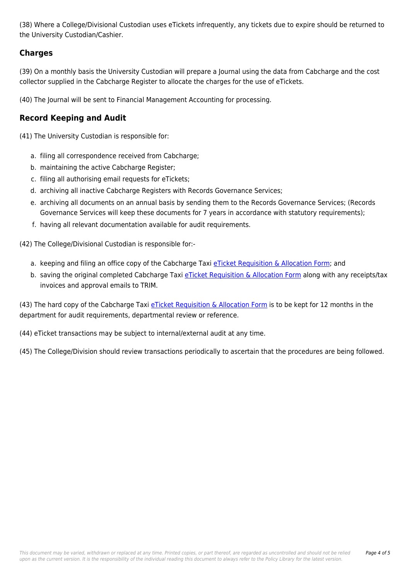(38) Where a College/Divisional Custodian uses eTickets infrequently, any tickets due to expire should be returned to the University Custodian/Cashier.

### **Charges**

(39) On a monthly basis the University Custodian will prepare a Journal using the data from Cabcharge and the cost collector supplied in the Cabcharge Register to allocate the charges for the use of eTickets.

(40) The Journal will be sent to Financial Management Accounting for processing.

### **Record Keeping and Audit**

(41) The University Custodian is responsible for:

- a. filing all correspondence received from Cabcharge;
- b. maintaining the active Cabcharge Register;
- c. filing all authorising email requests for eTickets;
- d. archiving all inactive Cabcharge Registers with Records Governance Services;
- e. archiving all documents on an annual basis by sending them to the Records Governance Services; (Records Governance Services will keep these documents for 7 years in accordance with statutory requirements);
- f. having all relevant documentation available for audit requirements.

(42) The College/Divisional Custodian is responsible for:-

- a. keeping and filing an office copy of the Cabcharge Taxi [eTicket Requisition & Allocation Form](https://policies.newcastle.edu.au/download.php?id=392&version=1&associated); and
- b. saving the original completed Cabcharge Taxi [eTicket Requisition & Allocation Form](https://policies.newcastle.edu.au/download.php?id=392&version=1&associated) along with any receipts/tax invoices and approval emails to TRIM.

(43) The hard copy of the Cabcharge Taxi [eTicket Requisition & Allocation Form](https://policies.newcastle.edu.au/download.php?id=392&version=1&associated) is to be kept for 12 months in the department for audit requirements, departmental review or reference.

(44) eTicket transactions may be subject to internal/external audit at any time.

(45) The College/Division should review transactions periodically to ascertain that the procedures are being followed.